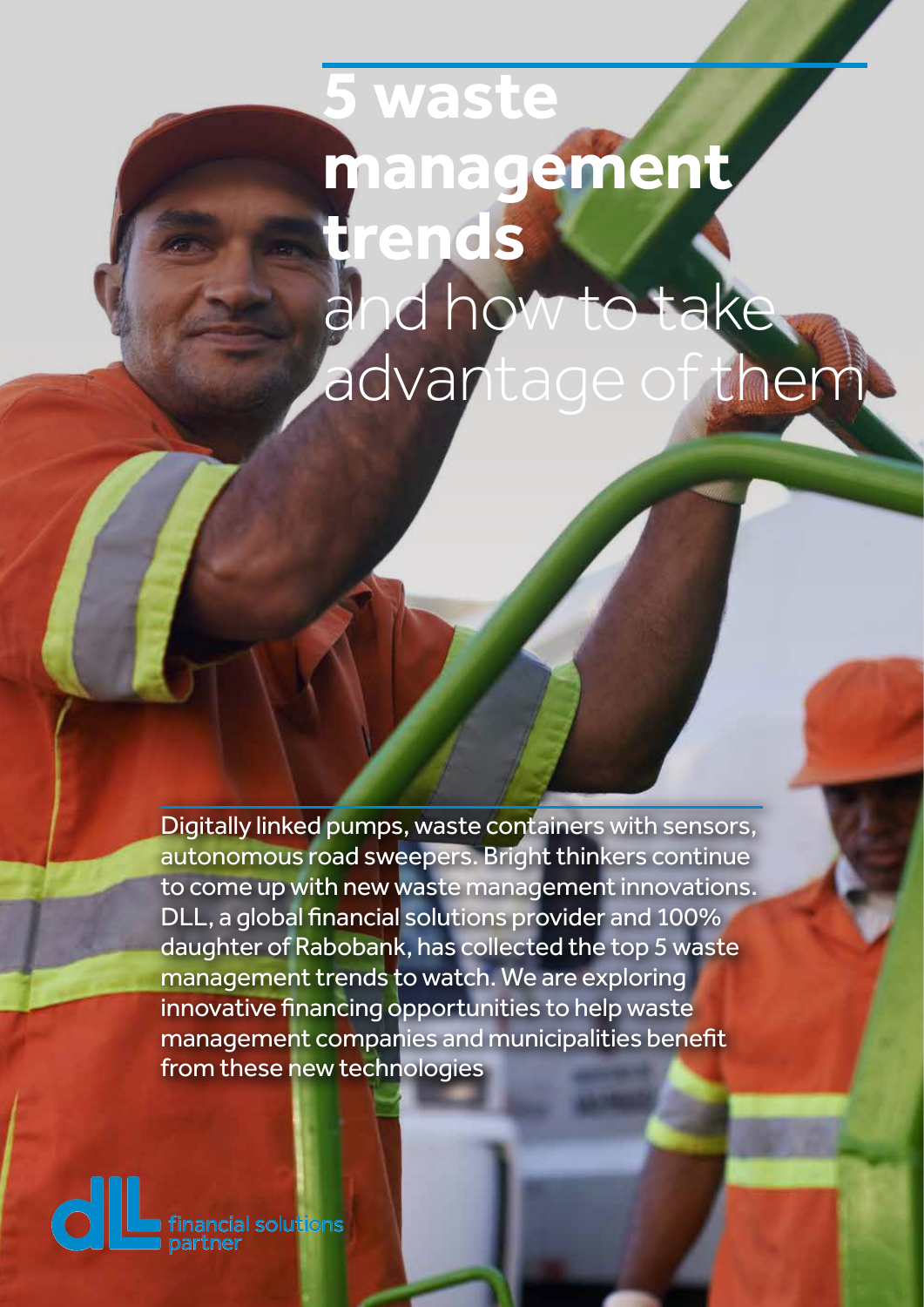# **www.dllgroup.com 5 waste management trends** and how to take advantage of them

Digitally linked pumps, waste containers with sensors, autonomous road sweepers. Bright thinkers continue to come up with new waste management innovations. DLL, a global financial solutions provider and 100% daughter of Rabobank, has collected the top 5 waste management trends to watch. We are exploring innovative financing opportunities to help waste management companies and municipalities benefit from these new technologies

> **De Lage Landen International B.V.** Vestdijk 51, 5611 CA Eindhoven P.O. Box 652, 5600 AR Eindhoven

The Netherlands Extra Address Line Extra Address Line Extra Address Line **T** +00 (0) 00 000 00 00 **F** +00 (0) 00 000 00 00

**E** communication@dllgroup.com

**dl n** financial solutions<br>**n** partner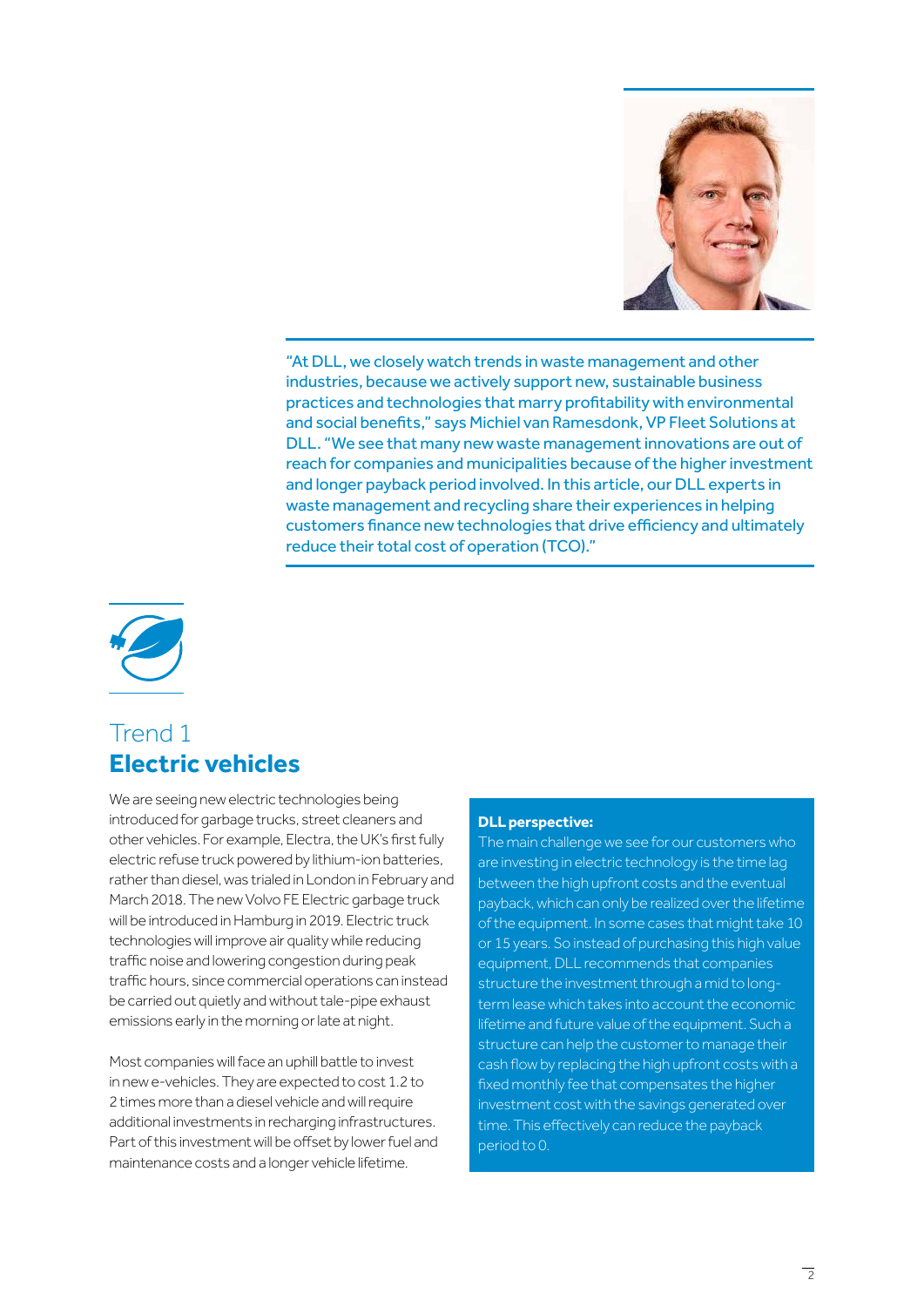

"At DLL, we closely watch trends in waste management and other industries, because we actively support new, sustainable business practices and technologies that marry profitability with environmental and social benefits," says Michiel van Ramesdonk, VP Fleet Solutions at DLL. "We see that many new waste management innovations are out of reach for companies and municipalities because of the higher investment and longer payback period involved. In this article, our DLL experts in waste management and recycling share their experiences in helping customers finance new technologies that drive efficiency and ultimately reduce their total cost of operation (TCO)."



## Trend 1 **Electric vehicles**

We are seeing new electric technologies being introduced for garbage trucks, street cleaners and other vehicles. For example, Electra, the UK's first fully electric refuse truck powered by lithium-ion batteries, rather than diesel, was trialed in London in February and March 2018. The new Volvo FE Electric garbage truck will be introduced in Hamburg in 2019. Electric truck technologies will improve air quality while reducing traffic noise and lowering congestion during peak traffic hours, since commercial operations can instead be carried out quietly and without tale-pipe exhaust emissions early in the morning or late at night.

Most companies will face an uphill battle to invest in new e-vehicles. They are expected to cost 1.2 to 2 times more than a diesel vehicle and will require additional investments in recharging infrastructures. Part of this investment will be offset by lower fuel and maintenance costs and a longer vehicle lifetime.

#### **DLL perspective:**

The main challenge we see for our customers who are investing in electric technology is the time lag between the high upfront costs and the eventual payback, which can only be realized over the lifetime of the equipment. In some cases that might take 10 or 15 years. So instead of purchasing this high value equipment, DLL recommends that companies structure the investment through a mid to longterm lease which takes into account the economic lifetime and future value of the equipment. Such a structure can help the customer to manage their cash flow by replacing the high upfront costs with a fixed monthly fee that compensates the higher investment cost with the savings generated over time. This effectively can reduce the payback period to 0.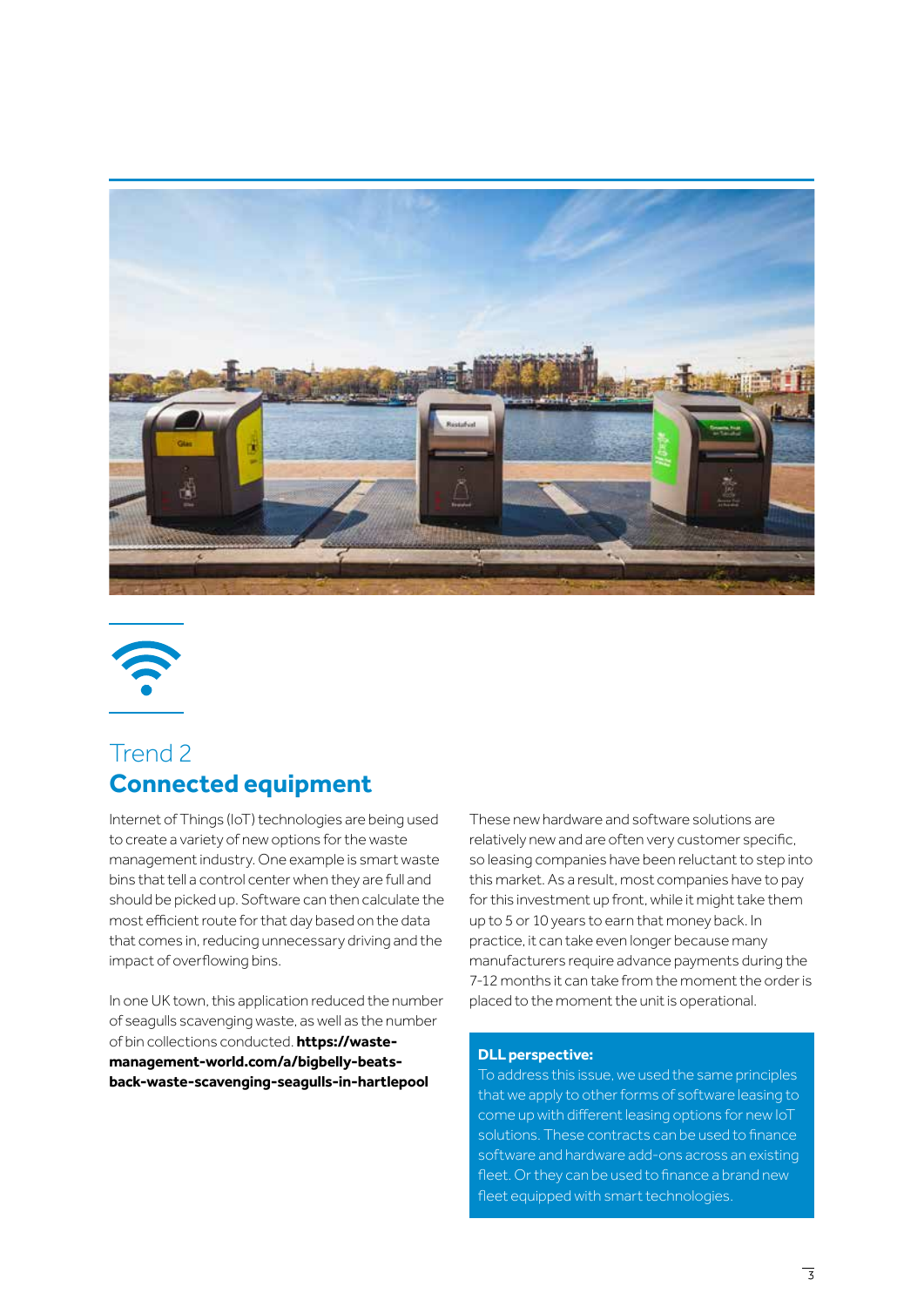



## Trend 2 **Connected equipment**

Internet of Things (IoT) technologies are being used to create a variety of new options for the waste management industry. One example is smart waste bins that tell a control center when they are full and should be picked up. Software can then calculate the most efficient route for that day based on the data that comes in, reducing unnecessary driving and the impact of overflowing bins.

In one UK town, this application reduced the number of seagulls scavenging waste, as well as the number of bin collections conducted. **https://wastemanagement-world.com/a/bigbelly-beatsback-waste-scavenging-seagulls-in-hartlepool**

These new hardware and software solutions are relatively new and are often very customer specific, so leasing companies have been reluctant to step into this market. As a result, most companies have to pay for this investment up front, while it might take them up to 5 or 10 years to earn that money back. In practice, it can take even longer because many manufacturers require advance payments during the 7-12 months it can take from the moment the order is placed to the moment the unit is operational.

#### **DLL perspective:**

To address this issue, we used the same principles that we apply to other forms of software leasing to come up with different leasing options for new IoT solutions. These contracts can be used to finance software and hardware add-ons across an existing fleet. Or they can be used to finance a brand new fleet equipped with smart technologies.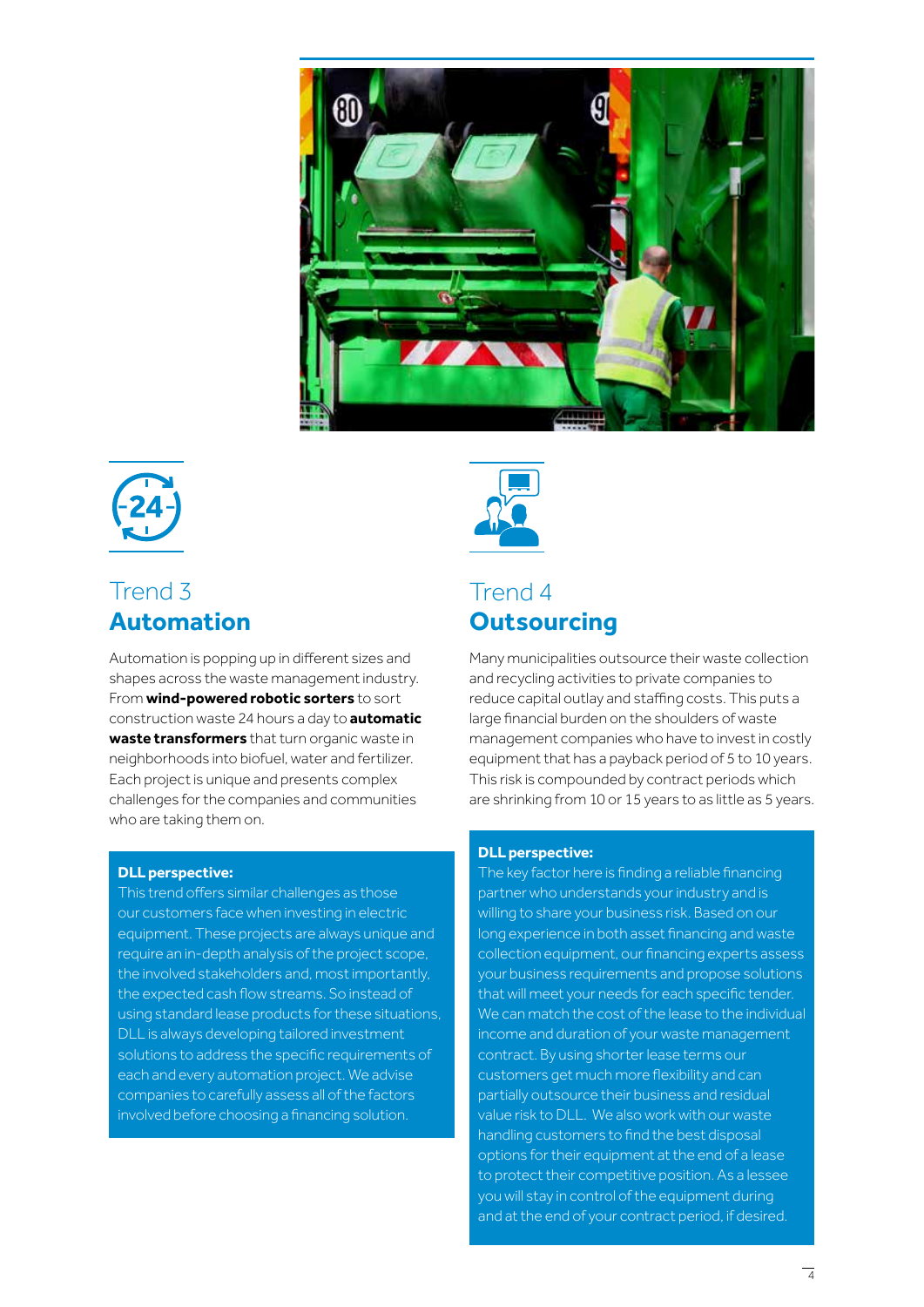



## Trend 3 **Automation**

Automation is popping up in different sizes and shapes across the waste management industry. From **wind-powered robotic sorters** to sort construction waste 24 hours a day to **automatic waste transformers** that turn organic waste in neighborhoods into biofuel, water and fertilizer. Each project is unique and presents complex challenges for the companies and communities who are taking them on.

#### **DLL perspective:**

This trend offers similar challenges as those our customers face when investing in electric equipment. These projects are always unique and require an in-depth analysis of the project scope, the involved stakeholders and, most importantly, the expected cash flow streams. So instead of using standard lease products for these situations, DLL is always developing tailored investment solutions to address the specific requirements of each and every automation project. We advise companies to carefully assess all of the factors involved before choosing a financing solution.



## Trend 4 **Outsourcing**

Many municipalities outsource their waste collection and recycling activities to private companies to reduce capital outlay and staffing costs. This puts a large financial burden on the shoulders of waste management companies who have to invest in costly equipment that has a payback period of 5 to 10 years. This risk is compounded by contract periods which are shrinking from 10 or 15 years to as little as 5 years.

#### **DLL perspective:**

The key factor here is finding a reliable financing partner who understands your industry and is willing to share your business risk. Based on our long experience in both asset financing and waste collection equipment, our financing experts assess your business requirements and propose solutions that will meet your needs for each specific tender. We can match the cost of the lease to the individual income and duration of your waste management contract. By using shorter lease terms our customers get much more flexibility and can partially outsource their business and residual value risk to DLL. We also work with our waste handling customers to find the best disposal options for their equipment at the end of a lease to protect their competitive position. As a lessee you will stay in control of the equipment during and at the end of your contract period, if desired.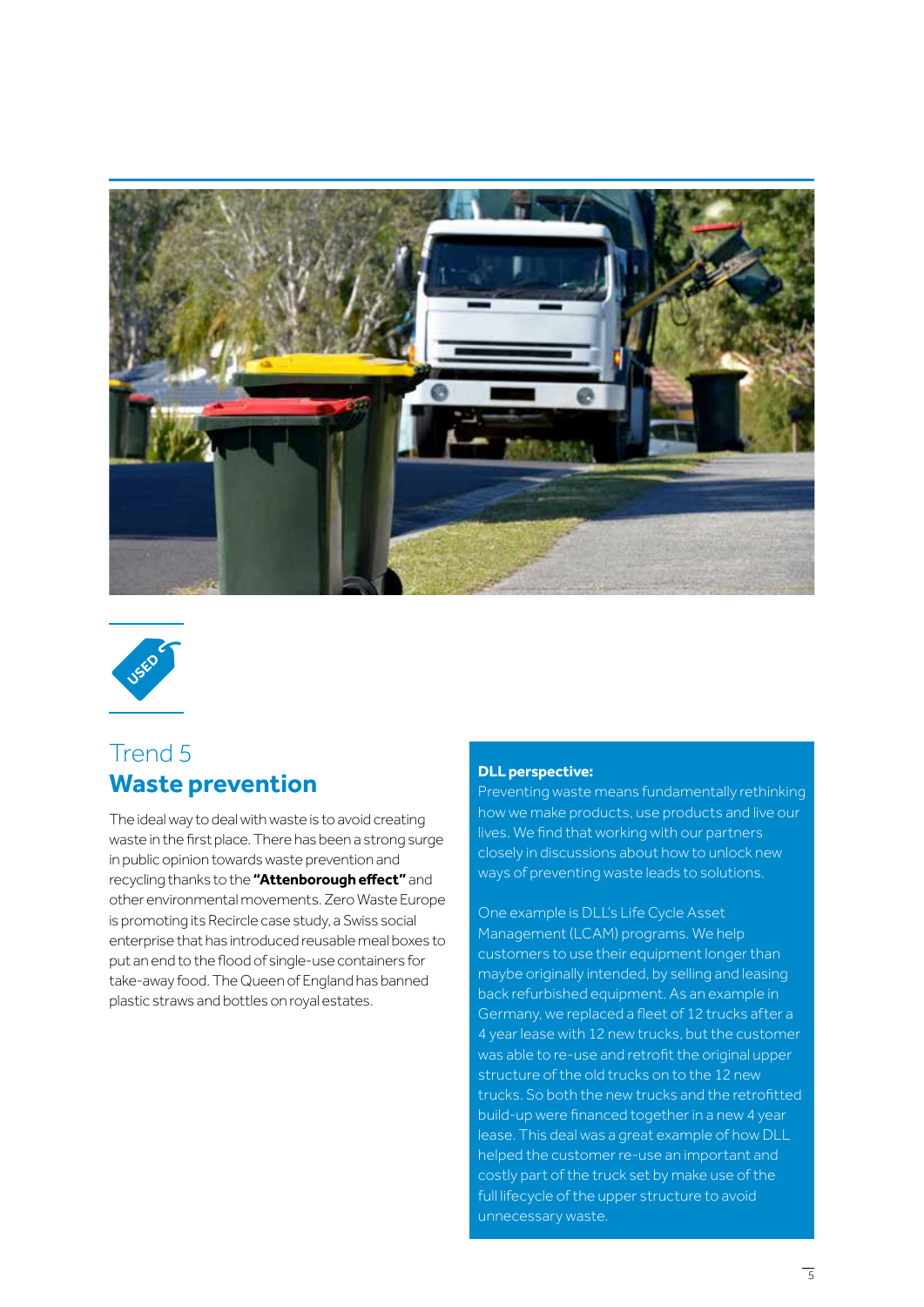



# Trend 5 **Waste prevention**

The ideal way to deal with waste is to avoid creating waste in the first place. There has been a strong surge in public opinion towards waste prevention and recycling thanks to the **"Attenborough effect"** and other environmental movements. Zero Waste Europe is promoting its Recircle case study, a Swiss social enterprise that has introduced reusable meal boxes to put an end to the flood of single-use containers for take-away food. The Queen of England has banned plastic straws and bottles on royal estates.

#### **DLL perspective:**

Preventing waste means fundamentally rethinking how we make products, use products and live our lives. We find that working with our partners closely in discussions about how to unlock new ways of preventing waste leads to solutions.

One example is DLL's Life Cycle Asset Management (LCAM) programs. We help customers to use their equipment longer than maybe originally intended, by selling and leasing back refurbished equipment. As an example in Germany, we replaced a fleet of 12 trucks after a 4 year lease with 12 new trucks, but the customer was able to re-use and retrofit the original upper structure of the old trucks on to the 12 new trucks. So both the new trucks and the retrofitted build-up were financed together in a new 4 year lease. This deal was a great example of how DLL helped the customer re-use an important and costly part of the truck set by make use of the full lifecycle of the upper structure to avoid unnecessary waste.